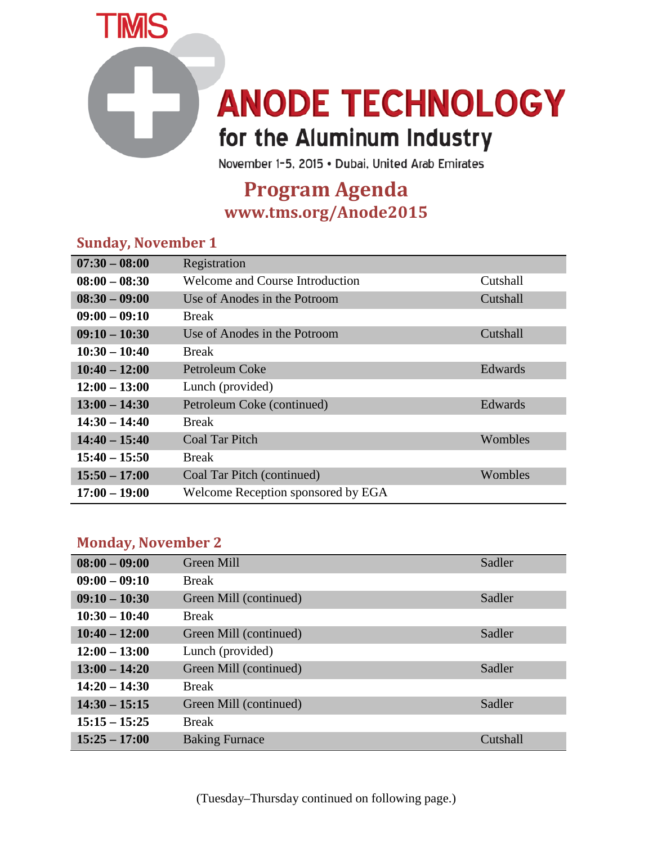

# **ANODE TECHNOLOGY** for the Aluminum Industry

November 1-5, 2015 . Dubai, United Arab Emirates

# **Program Agenda www.tms.org/Anode2015**

#### **Sunday, November 1**

| $07:30 - 08:00$ | Registration                           |          |
|-----------------|----------------------------------------|----------|
| $08:00 - 08:30$ | <b>Welcome and Course Introduction</b> | Cutshall |
| $08:30 - 09:00$ | Use of Anodes in the Potroom           | Cutshall |
| $09:00 - 09:10$ | <b>Break</b>                           |          |
| $09:10 - 10:30$ | Use of Anodes in the Potroom           | Cutshall |
| $10:30 - 10:40$ | <b>Break</b>                           |          |
| $10:40 - 12:00$ | Petroleum Coke                         | Edwards  |
| $12:00 - 13:00$ | Lunch (provided)                       |          |
| $13:00 - 14:30$ | Petroleum Coke (continued)             | Edwards  |
| $14:30 - 14:40$ | Break                                  |          |
| $14:40 - 15:40$ | Coal Tar Pitch                         | Wombles  |
| $15:40 - 15:50$ | Break                                  |          |
| $15:50 - 17:00$ | Coal Tar Pitch (continued)             | Wombles  |
| $17:00 - 19:00$ | Welcome Reception sponsored by EGA     |          |

#### **Monday, November 2**

| $08:00 - 09:00$ | Green Mill             | Sadler   |
|-----------------|------------------------|----------|
| $09:00 - 09:10$ | <b>Break</b>           |          |
| $09:10 - 10:30$ | Green Mill (continued) | Sadler   |
| $10:30 - 10:40$ | <b>Break</b>           |          |
| $10:40 - 12:00$ | Green Mill (continued) | Sadler   |
| $12:00 - 13:00$ | Lunch (provided)       |          |
| $13:00 - 14:20$ | Green Mill (continued) | Sadler   |
| $14:20 - 14:30$ | <b>Break</b>           |          |
| $14:30 - 15:15$ | Green Mill (continued) | Sadler   |
| $15:15 - 15:25$ | <b>Break</b>           |          |
| $15:25 - 17:00$ | <b>Baking Furnace</b>  | Cutshall |